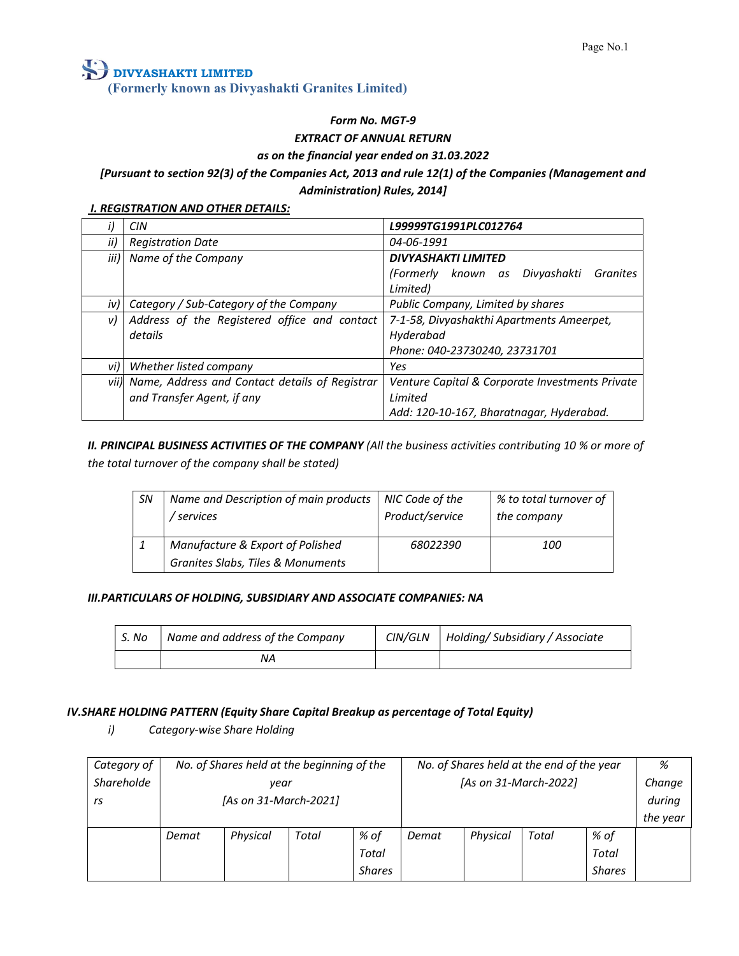### Form No. MGT-9

### EXTRACT OF ANNUAL RETURN

#### as on the financial year ended on 31.03.2022

### [Pursuant to section 92(3) of the Companies Act, 2013 and rule 12(1) of the Companies (Management and Administration) Rules, 2014]

#### **I. REGISTRATION AND OTHER DETAILS:**

|          | CIN                                                 | L99999TG1991PLC012764                           |
|----------|-----------------------------------------------------|-------------------------------------------------|
| ii)      | <b>Registration Date</b>                            | 04-06-1991                                      |
|          | iii) Name of the Company                            | <b>DIVYASHAKTI LIMITED</b>                      |
|          |                                                     | (Formerly known as Divyashakti<br>Granites      |
|          |                                                     | Limited)                                        |
|          | iv) Category / Sub-Category of the Company          | Public Company, Limited by shares               |
| v)       | Address of the Registered office and contact        | 7-1-58, Divyashakthi Apartments Ameerpet,       |
|          | details                                             | Hyderabad                                       |
|          |                                                     | Phone: 040-23730240, 23731701                   |
| $v$ i) l | Whether listed company                              | Yes                                             |
|          | vii) Name, Address and Contact details of Registrar | Venture Capital & Corporate Investments Private |
|          | and Transfer Agent, if any                          | Limited                                         |
|          |                                                     | Add: 120-10-167, Bharatnagar, Hyderabad.        |

II. PRINCIPAL BUSINESS ACTIVITIES OF THE COMPANY (All the business activities contributing 10 % or more of the total turnover of the company shall be stated)

| <b>SN</b> | Name and Description of main products<br><i>services</i> | NIC Code of the<br>Product/service | % to total turnover of<br>the company |
|-----------|----------------------------------------------------------|------------------------------------|---------------------------------------|
|           | Manufacture & Export of Polished                         | 68022390                           | <i>100</i>                            |
|           | Granites Slabs, Tiles & Monuments                        |                                    |                                       |

#### III.PARTICULARS OF HOLDING, SUBSIDIARY AND ASSOCIATE COMPANIES: NA

| S. No | Name and address of the Company | CIN/GLN | Holding/ Subsidiary / Associate |
|-------|---------------------------------|---------|---------------------------------|
|       | ΝA                              |         |                                 |

#### IV.SHARE HOLDING PATTERN (Equity Share Capital Breakup as percentage of Total Equity)

i) Category-wise Share Holding

| Category of |       | No. of Shares held at the beginning of the |       |        |       |          | No. of Shares held at the end of the year |               | %        |
|-------------|-------|--------------------------------------------|-------|--------|-------|----------|-------------------------------------------|---------------|----------|
| Shareholde  |       | year                                       |       |        |       |          | [As on 31-March-2022]                     |               | Change   |
| rs          |       | [As on 31-March-2021]                      |       |        |       |          |                                           |               | during   |
|             |       |                                            |       |        |       |          |                                           |               | the year |
|             | Demat | Physical                                   | Total | % of   | Demat | Physical | Total                                     | % of          |          |
|             |       |                                            |       | Total  |       |          |                                           | Total         |          |
|             |       |                                            |       | Shares |       |          |                                           | <b>Shares</b> |          |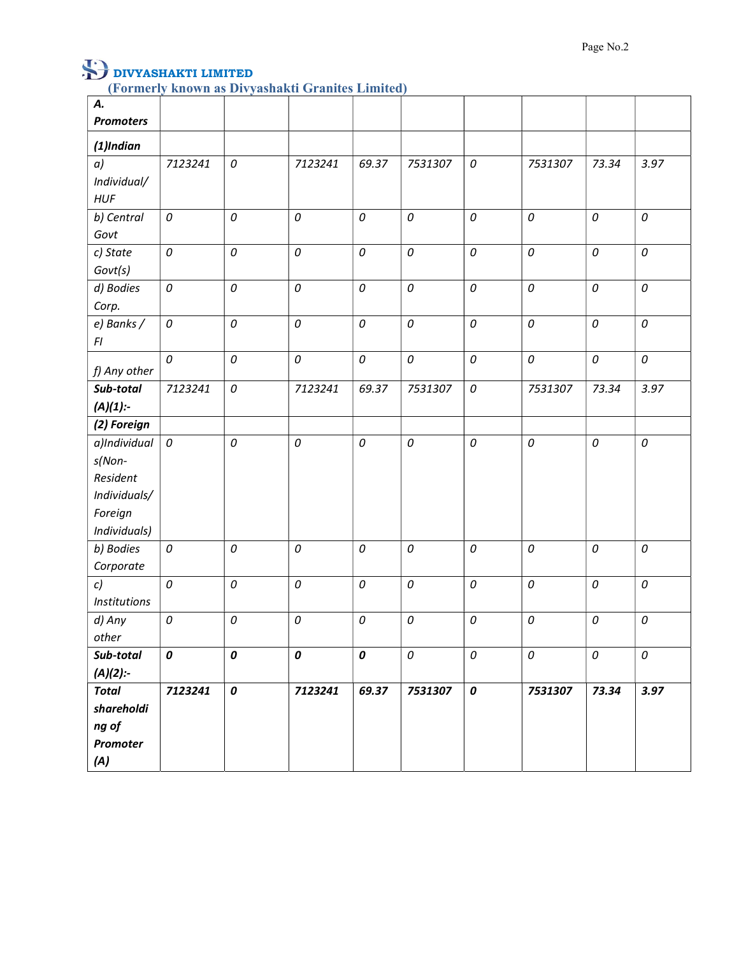| А.                  |            |            |              |            |              |            |          |       |              |
|---------------------|------------|------------|--------------|------------|--------------|------------|----------|-------|--------------|
| <b>Promoters</b>    |            |            |              |            |              |            |          |       |              |
| $(1)$ Indian        |            |            |              |            |              |            |          |       |              |
| a)                  | 7123241    | ${\cal O}$ | 7123241      | 69.37      | 7531307      | 0          | 7531307  | 73.34 | 3.97         |
| Individual/         |            |            |              |            |              |            |          |       |              |
| <b>HUF</b>          |            |            |              |            |              |            |          |       |              |
| b) Central          | 0          | ${\cal O}$ | $\cal O$     | ${\cal O}$ | 0            | ${\cal O}$ | 0        | 0     | 0            |
| Govt                |            |            |              |            |              |            |          |       |              |
| c) State            | 0          | ${\cal O}$ | $\cal O$     | ${\cal O}$ | 0            | ${\cal O}$ | 0        | 0     | $\cal O$     |
| Govt(s)             |            |            |              |            |              |            |          |       |              |
| d) Bodies           | $\cal O$   | ${\cal O}$ | $\cal O$     | ${\cal O}$ | 0            | $\cal O$   | 0        | 0     | $\cal O$     |
| Corp.               |            |            |              |            |              |            |          |       |              |
| e) Banks /          | ${\cal O}$ | ${\cal O}$ | $\cal O$     | ${\cal O}$ | $\cal O$     | $\cal O$   | 0        | 0     | ${\cal O}$   |
| FI                  |            |            |              |            |              |            |          |       |              |
| f) Any other        | $\cal O$   | ${\cal O}$ | $\cal O$     | ${\cal O}$ | $\cal O$     | ${\cal O}$ | 0        | 0     | $\cal O$     |
| Sub-total           | 7123241    | ${\cal O}$ | 7123241      | 69.37      | 7531307      | $\cal O$   | 7531307  | 73.34 | 3.97         |
| $(A)(1)$ :-         |            |            |              |            |              |            |          |       |              |
| (2) Foreign         |            |            |              |            |              |            |          |       |              |
| a)Individual        | ${\cal O}$ | 0          | $\cal O$     | ${\cal O}$ | $\mathcal O$ | $\it{O}$   | $\cal O$ | 0     | $\mathcal O$ |
| s(Non-              |            |            |              |            |              |            |          |       |              |
| Resident            |            |            |              |            |              |            |          |       |              |
| Individuals/        |            |            |              |            |              |            |          |       |              |
| Foreign             |            |            |              |            |              |            |          |       |              |
| Individuals)        |            |            |              |            |              |            |          |       |              |
| b) Bodies           | 0          | 0          | $\cal O$     | ${\cal O}$ | $\cal O$     | $\cal O$   | 0        | 0     | 0            |
| Corporate           |            |            |              |            |              |            |          |       |              |
| c)                  | 0          | 0          | $\mathcal O$ | ${\cal O}$ | $\mathcal O$ | ${\cal O}$ | 0        | 0     | 0            |
| <b>Institutions</b> |            |            |              |            |              |            |          |       |              |
| d) Any              | 0          | 0          | $\cal O$     | 0          | $\cal O$     | $\cal O$   | 0        | 0     | 0            |
| other               |            |            |              |            |              |            |          |       |              |
| Sub-total           | 0          | 0          | $\pmb{o}$    | $\pmb{o}$  | $\cal O$     | ${\cal O}$ | 0        | 0     | 0            |
| $(A)(2)$ :-         |            |            |              |            |              |            |          |       |              |
| <b>Total</b>        | 7123241    | $\pmb{o}$  | 7123241      | 69.37      | 7531307      | $\pmb{o}$  | 7531307  | 73.34 | 3.97         |
| shareholdi          |            |            |              |            |              |            |          |       |              |
| ng of               |            |            |              |            |              |            |          |       |              |
| Promoter            |            |            |              |            |              |            |          |       |              |
| (A)                 |            |            |              |            |              |            |          |       |              |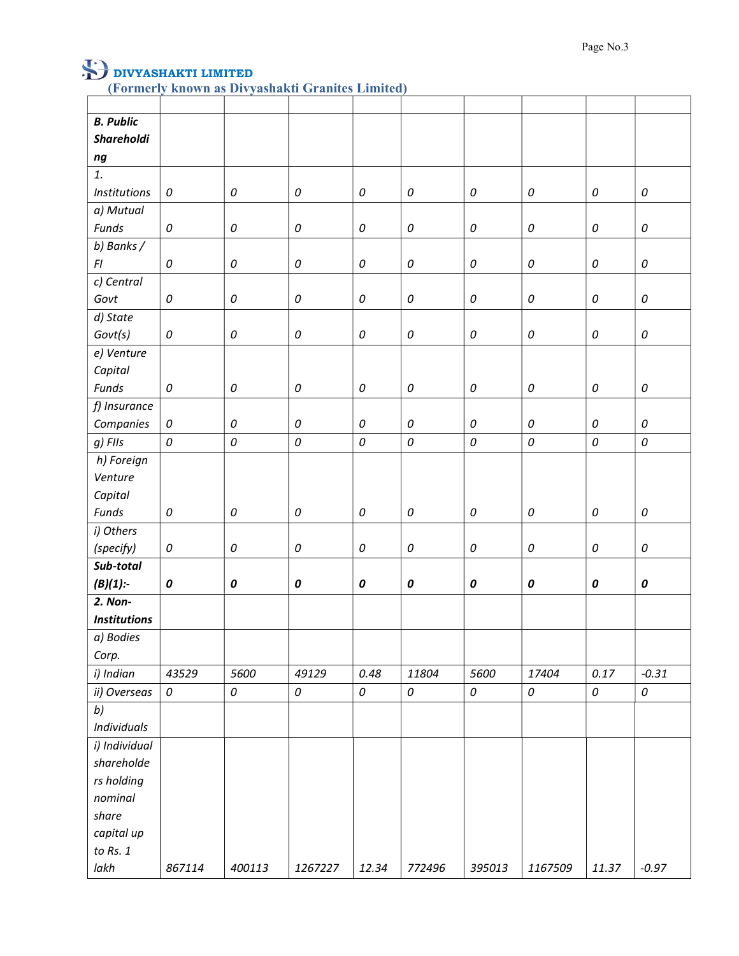|         | <b>B.</b> Public    |           |                    |              |            |                    |              |            |              |                    |
|---------|---------------------|-----------|--------------------|--------------|------------|--------------------|--------------|------------|--------------|--------------------|
|         | Shareholdi          |           |                    |              |            |                    |              |            |              |                    |
| ng      |                     |           |                    |              |            |                    |              |            |              |                    |
| 1.      |                     |           |                    |              |            |                    |              |            |              |                    |
|         | <b>Institutions</b> | $\cal O$  | $\cal O$           | $\mathcal O$ | 0          | $\it{O}$           | $\it{O}$     | 0          | 0            | $\cal O$           |
|         | a) Mutual           |           |                    |              |            |                    |              |            |              |                    |
| Funds   |                     | 0         | $\it{O}$           | 0            | 0          | $\it{O}$           | $\it{O}$     | 0          | 0            | $\it{O}$           |
|         | b) Banks /          |           |                    |              |            |                    |              |            |              |                    |
| F1      |                     | 0         | $\it{O}$           | ${\cal O}$   | 0          | $\mathcal O$       | $\it{O}$     | 0          | $\mathcal O$ | $\it{O}$           |
|         | c) Central          |           |                    |              |            |                    |              |            |              |                    |
| Govt    |                     | 0         | 0                  | 0            | 0          | $\it{O}$           | $\it{O}$     | 0          | 0            | $\it{O}$           |
|         | d) State            |           |                    |              |            |                    |              |            |              |                    |
|         | Govt(s)             | $\cal O$  | ${\cal O}$         | 0            | 0          | $\it{O}$           | $\it{O}$     | 0          | 0            | $\it{O}$           |
|         | e) Venture          |           |                    |              |            |                    |              |            |              |                    |
|         | Capital             |           |                    |              |            |                    |              |            |              |                    |
| Funds   |                     | 0         | 0                  | $\it{O}$     | ${\cal O}$ | $\it{O}$           | $\it{O}$     | ${\cal O}$ | 0            | $\it{O}$           |
|         | f) Insurance        |           |                    |              |            |                    |              |            |              |                    |
|         | Companies           | 0         | $\it{O}$           | 0            | 0          | $\it{O}$           | $\it{O}$     | 0          | 0            | $\cal O$           |
| g) FIIs |                     | 0         | $\it{O}$           | 0            | 0          | $\cal O$           | $\cal O$     | 0          | $\cal O$     | $\it{O}$           |
|         | h) Foreign          |           |                    |              |            |                    |              |            |              |                    |
|         | Venture             |           |                    |              |            |                    |              |            |              |                    |
|         | Capital             |           |                    |              |            |                    |              |            |              |                    |
| Funds   |                     | 0         | $\it{O}$           | ${\cal O}$   | ${\cal O}$ | $\it{O}$           | $\mathcal O$ | 0          | $\cal O$     | ${\cal O}$         |
|         | i) Others           |           |                    |              |            |                    |              |            |              |                    |
|         | (specify)           | 0         | ${\cal O}$         | 0            | ${\cal O}$ | $\it{O}$           | $\mathcal O$ | 0          | $\mathcal O$ | $\it{O}$           |
|         | Sub-total           |           |                    |              |            |                    |              |            |              |                    |
|         | $(B)(1)$ :-         | $\pmb{o}$ | $\pmb{\mathit{0}}$ | $\pmb{o}$    | $\pmb{o}$  | $\pmb{\mathit{0}}$ | 0            | 0          | $\pmb{o}$    | $\pmb{\mathit{0}}$ |
|         | 2. Non-             |           |                    |              |            |                    |              |            |              |                    |
|         | <b>Institutions</b> |           |                    |              |            |                    |              |            |              |                    |
|         | a) Bodies           |           |                    |              |            |                    |              |            |              |                    |
| Corp.   |                     |           |                    |              |            |                    |              |            |              |                    |
|         | i) Indian           | 43529     | 5600               | 49129        | 0.48       | 11804              | 5600         | 17404      | 0.17         | $-0.31$            |
|         | ii) Overseas        | 0         | $\it{O}$           | 0            | $\cal O$   | $\cal O$           | $\it{O}$     | $\cal O$   | $\cal O$     | $\cal O$           |
| b)      |                     |           |                    |              |            |                    |              |            |              |                    |
|         | <b>Individuals</b>  |           |                    |              |            |                    |              |            |              |                    |
|         | i) Individual       |           |                    |              |            |                    |              |            |              |                    |
|         | shareholde          |           |                    |              |            |                    |              |            |              |                    |
|         | rs holding          |           |                    |              |            |                    |              |            |              |                    |
|         | nominal             |           |                    |              |            |                    |              |            |              |                    |
| share   |                     |           |                    |              |            |                    |              |            |              |                    |
|         | capital up          |           |                    |              |            |                    |              |            |              |                    |
|         | to $Rs. 1$          |           |                    |              |            |                    |              |            |              |                    |
| lakh    |                     | 867114    | 400113             | 1267227      | 12.34      | 772496             | 395013       | 1167509    | 11.37        | $-0.97$            |
|         |                     |           |                    |              |            |                    |              |            |              |                    |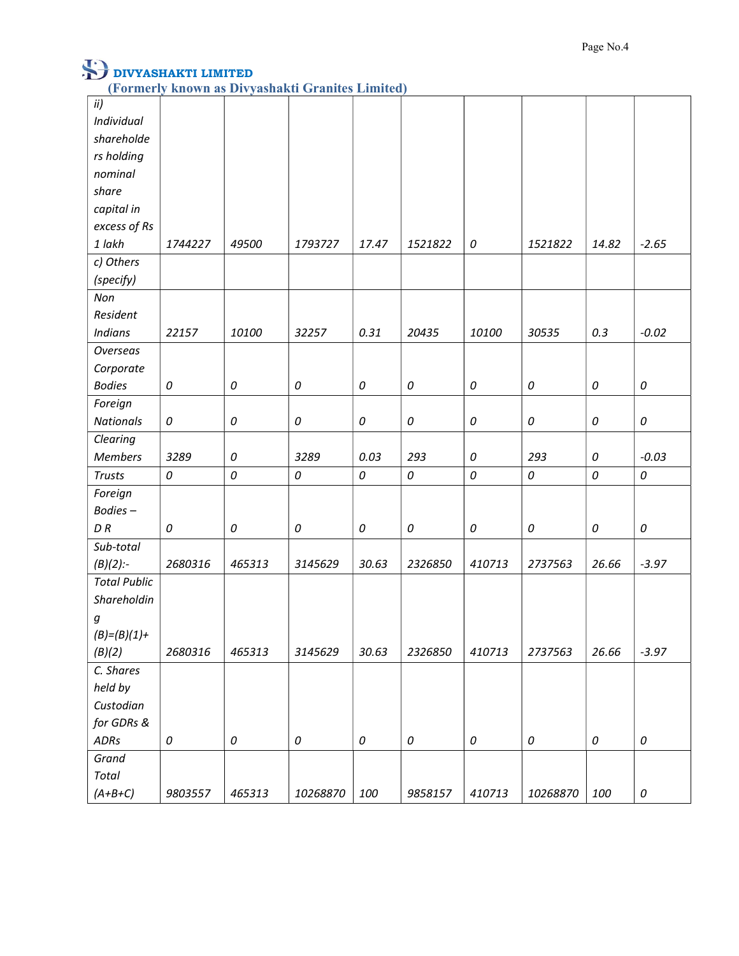| ii)                 |            |            |              |       |            |          |          |            |          |
|---------------------|------------|------------|--------------|-------|------------|----------|----------|------------|----------|
| Individual          |            |            |              |       |            |          |          |            |          |
| shareholde          |            |            |              |       |            |          |          |            |          |
| rs holding          |            |            |              |       |            |          |          |            |          |
| nominal             |            |            |              |       |            |          |          |            |          |
| share               |            |            |              |       |            |          |          |            |          |
| capital in          |            |            |              |       |            |          |          |            |          |
| excess of Rs        |            |            |              |       |            |          |          |            |          |
| 1 lakh              | 1744227    | 49500      | 1793727      | 17.47 | 1521822    | 0        | 1521822  | 14.82      | $-2.65$  |
| c) Others           |            |            |              |       |            |          |          |            |          |
| (specify)           |            |            |              |       |            |          |          |            |          |
| Non                 |            |            |              |       |            |          |          |            |          |
| Resident            |            |            |              |       |            |          |          |            |          |
| <b>Indians</b>      | 22157      | 10100      | 32257        | 0.31  | 20435      | 10100    | 30535    | 0.3        | $-0.02$  |
| <b>Overseas</b>     |            |            |              |       |            |          |          |            |          |
| Corporate           |            |            |              |       |            |          |          |            |          |
| <b>Bodies</b>       | $\it{O}$   | $\it{O}$   | 0            | 0     | $\it{O}$   | 0        | 0        | 0          | $\it{O}$ |
| Foreign             |            |            |              |       |            |          |          |            |          |
| <b>Nationals</b>    | 0          | 0          | $\mathcal O$ | 0     | $\it{O}$   | $\it{O}$ | 0        | 0          | 0        |
| Clearing            |            |            |              |       |            |          |          |            |          |
| <b>Members</b>      | 3289       | 0          | 3289         | 0.03  | 293        | 0        | 293      | 0          | $-0.03$  |
| <b>Trusts</b>       | 0          | ${\cal O}$ | 0            | 0     | 0          | 0        | 0        | 0          | 0        |
| Foreign             |            |            |              |       |            |          |          |            |          |
| Bodies-             |            |            |              |       |            |          |          |            |          |
| $D\,R$              | 0          | 0          | 0            | 0     | 0          | 0        | 0        | 0          | 0        |
| Sub-total           |            |            |              |       |            |          |          |            |          |
| $(B)(2)$ :-         | 2680316    | 465313     | 3145629      | 30.63 | 2326850    | 410713   | 2737563  | 26.66      | $-3.97$  |
| <b>Total Public</b> |            |            |              |       |            |          |          |            |          |
| Shareholdin         |            |            |              |       |            |          |          |            |          |
| g                   |            |            |              |       |            |          |          |            |          |
| $(B) = (B)(1) +$    |            |            |              |       |            |          |          |            |          |
| (B)(2)              | 2680316    | 465313     | 3145629      | 30.63 | 2326850    | 410713   | 2737563  | 26.66      | $-3.97$  |
| C. Shares           |            |            |              |       |            |          |          |            |          |
| held by             |            |            |              |       |            |          |          |            |          |
| Custodian           |            |            |              |       |            |          |          |            |          |
| for GDRs &          |            |            |              |       |            |          |          |            |          |
| ADRs                | ${\cal O}$ | 0          | 0            | 0     | ${\cal O}$ | 0        | 0        | ${\cal O}$ | $\it{O}$ |
| Grand               |            |            |              |       |            |          |          |            |          |
| Total               |            |            |              |       |            |          |          |            |          |
| $(A+B+C)$           | 9803557    | 465313     | 10268870     | 100   | 9858157    | 410713   | 10268870 | 100        | $\it{O}$ |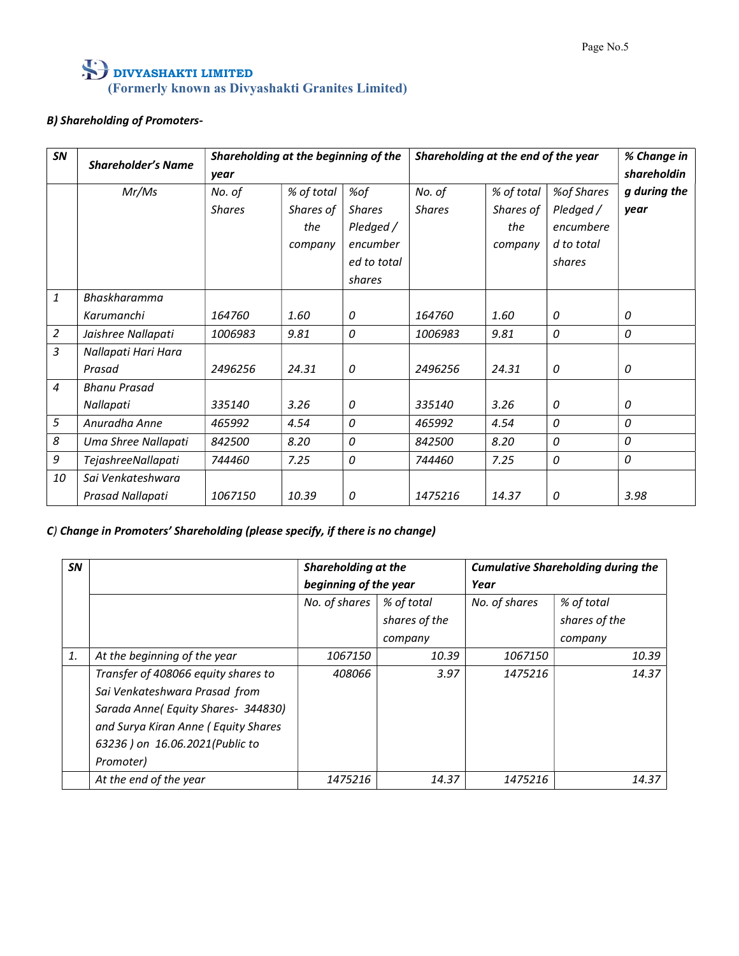### B) Shareholding of Promoters-

| SN             | <b>Shareholder's Name</b> | year          | Shareholding at the beginning of the |                            |               | Shareholding at the end of the year |                        | % Change in<br>shareholdin |
|----------------|---------------------------|---------------|--------------------------------------|----------------------------|---------------|-------------------------------------|------------------------|----------------------------|
|                | Mr/Ms                     | No. of        | % of total                           | %of                        | No. of        | % of total                          | %of Shares             | g during the               |
|                |                           | <b>Shares</b> | Shares of<br>the                     | <b>Shares</b><br>Pledged / | <b>Shares</b> | Shares of<br>the                    | Pledged /<br>encumbere | year                       |
|                |                           |               | company                              | encumber                   |               | company                             | d to total             |                            |
|                |                           |               |                                      | ed to total                |               |                                     | shares                 |                            |
|                |                           |               |                                      | shares                     |               |                                     |                        |                            |
| $\mathbf{1}$   | Bhaskharamma              |               |                                      |                            |               |                                     |                        |                            |
|                | Karumanchi                | 164760        | 1.60                                 | 0                          | 164760        | 1.60                                | 0                      | 0                          |
| $\overline{2}$ | Jaishree Nallapati        | 1006983       | 9.81                                 | 0                          | 1006983       | 9.81                                | 0                      | 0                          |
| $\mathfrak{Z}$ | Nallapati Hari Hara       |               |                                      |                            |               |                                     |                        |                            |
|                | Prasad                    | 2496256       | 24.31                                | 0                          | 2496256       | 24.31                               | 0                      | 0                          |
| $\overline{4}$ | <b>Bhanu Prasad</b>       |               |                                      |                            |               |                                     |                        |                            |
|                | Nallapati                 | 335140        | 3.26                                 | 0                          | 335140        | 3.26                                | 0                      | 0                          |
| 5              | Anuradha Anne             | 465992        | 4.54                                 | 0                          | 465992        | 4.54                                | 0                      | 0                          |
| 8              | Uma Shree Nallapati       | 842500        | 8.20                                 | 0                          | 842500        | 8.20                                | 0                      | 0                          |
| 9              | TejashreeNallapati        | 744460        | 7.25                                 | 0                          | 744460        | 7.25                                | 0                      | 0                          |
| 10             | Sai Venkateshwara         |               |                                      |                            |               |                                     |                        |                            |
|                | Prasad Nallapati          | 1067150       | 10.39                                | 0                          | 1475216       | 14.37                               | 0                      | 3.98                       |
|                |                           |               |                                      |                            |               |                                     |                        |                            |

### C) Change in Promoters' Shareholding (please specify, if there is no change)

| SN |                                      | Shareholding at the   |               |               | <b>Cumulative Shareholding during the</b> |  |
|----|--------------------------------------|-----------------------|---------------|---------------|-------------------------------------------|--|
|    |                                      | beginning of the year |               | Year          |                                           |  |
|    |                                      | No. of shares         | % of total    | No. of shares | % of total                                |  |
|    |                                      |                       | shares of the |               | shares of the                             |  |
|    |                                      |                       | company       |               | company                                   |  |
| 1. | At the beginning of the year         | 1067150               | 10.39         | 1067150       | 10.39                                     |  |
|    | Transfer of 408066 equity shares to  | 408066                | 3.97          | 1475216       | 14.37                                     |  |
|    | Sai Venkateshwara Prasad from        |                       |               |               |                                           |  |
|    | Sarada Anne (Equity Shares- 344830)  |                       |               |               |                                           |  |
|    | and Surya Kiran Anne ( Equity Shares |                       |               |               |                                           |  |
|    | 63236 ) on 16.06.2021 (Public to     |                       |               |               |                                           |  |
|    | Promoter)                            |                       |               |               |                                           |  |
|    | At the end of the year               | 1475216               | 14.37         | 1475216       | 14.37                                     |  |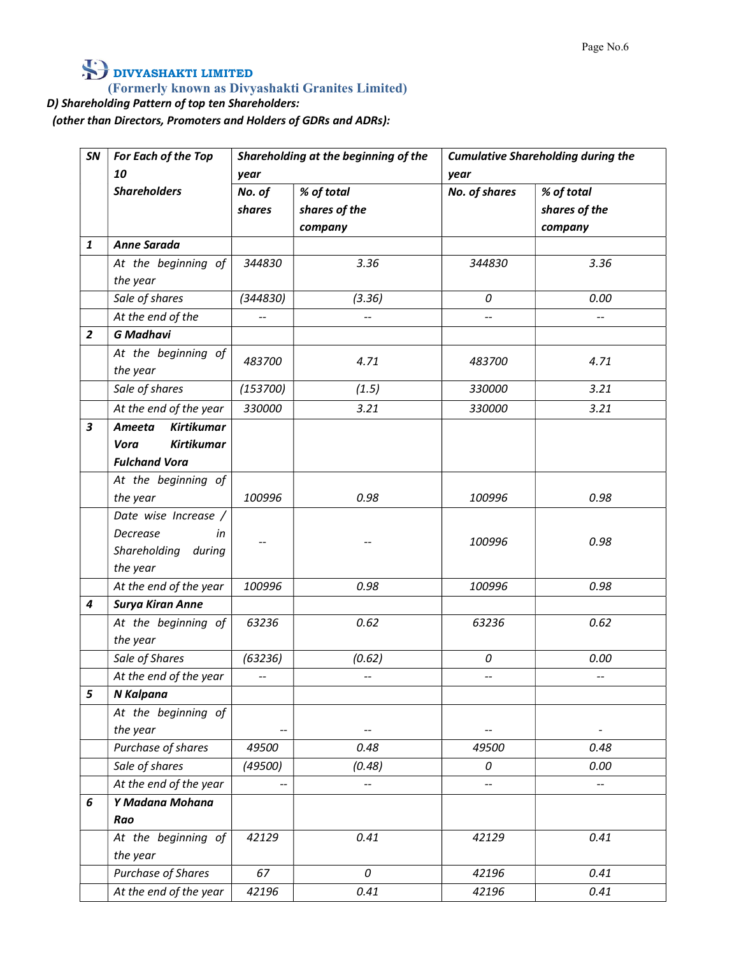### D) Shareholding Pattern of top ten Shareholders:

(other than Directors, Promoters and Holders of GDRs and ADRs):

| SN             | For Each of the Top<br>10                         | year                     | Shareholding at the beginning of the   | year                     | <b>Cumulative Shareholding during the</b> |
|----------------|---------------------------------------------------|--------------------------|----------------------------------------|--------------------------|-------------------------------------------|
|                | <b>Shareholders</b>                               | No. of<br>shares         | % of total<br>shares of the<br>company | No. of shares            | % of total<br>shares of the<br>company    |
| 1              | Anne Sarada                                       |                          |                                        |                          |                                           |
|                | At the beginning of<br>the year                   | 344830                   | 3.36                                   | 344830                   | 3.36                                      |
|                | Sale of shares                                    | (344830)                 | (3.36)                                 | 0                        | 0.00                                      |
|                | At the end of the                                 | $\overline{\phantom{a}}$ | $\mathbb{H}^{\mathbb{H}}$              | $\overline{\phantom{a}}$ | $\overline{\phantom{a}}$                  |
| $\overline{2}$ | <b>G</b> Madhavi                                  |                          |                                        |                          |                                           |
|                | At the beginning of<br>the year                   | 483700                   | 4.71                                   | 483700                   | 4.71                                      |
|                | Sale of shares                                    | (153700)                 | (1.5)                                  | 330000                   | 3.21                                      |
|                | At the end of the year                            | 330000                   | 3.21                                   | 330000                   | 3.21                                      |
| 3              | <b>Kirtikumar</b><br>Ameeta                       |                          |                                        |                          |                                           |
|                | <b>Kirtikumar</b><br>Vora                         |                          |                                        |                          |                                           |
|                | <b>Fulchand Vora</b>                              |                          |                                        |                          |                                           |
|                | At the beginning of<br>the year                   | 100996                   | 0.98                                   | 100996                   | 0.98                                      |
|                | Date wise Increase /                              |                          |                                        |                          |                                           |
|                | Decrease<br>in<br>Shareholding during<br>the year |                          |                                        | 100996                   | 0.98                                      |
|                | At the end of the year                            | 100996                   | 0.98                                   | 100996                   | 0.98                                      |
| 4              | <b>Surya Kiran Anne</b>                           |                          |                                        |                          |                                           |
|                | At the beginning of<br>the year                   | 63236                    | 0.62                                   | 63236                    | 0.62                                      |
|                | Sale of Shares                                    | (63236)                  | (0.62)                                 | 0                        | 0.00                                      |
|                | At the end of the year                            | $\overline{\phantom{a}}$ | $\overline{\phantom{a}}$               | $\overline{\phantom{m}}$ | $\mathcal{L}_{\mathcal{F}}$               |
| 5              | N Kalpana                                         |                          |                                        |                          |                                           |
|                | At the beginning of<br>the year                   | --                       | $\overline{\phantom{a}}$               | $\overline{\phantom{a}}$ | $\blacksquare$                            |
|                | Purchase of shares                                | 49500                    | 0.48                                   | 49500                    | 0.48                                      |
|                | Sale of shares                                    | (49500)                  | (0.48)                                 | 0                        | 0.00                                      |
|                | At the end of the year                            | $\overline{\phantom{a}}$ | $\overline{\phantom{m}}$               | $\overline{\phantom{a}}$ | $\overline{\phantom{a}}$                  |
| 6              | Y Madana Mohana                                   |                          |                                        |                          |                                           |
|                | Rao                                               |                          |                                        |                          |                                           |
|                | At the beginning of<br>the year                   | 42129                    | 0.41                                   | 42129                    | 0.41                                      |
|                | Purchase of Shares                                | 67                       | 0                                      | 42196                    | 0.41                                      |
|                | At the end of the year                            | 42196                    | 0.41                                   | 42196                    | 0.41                                      |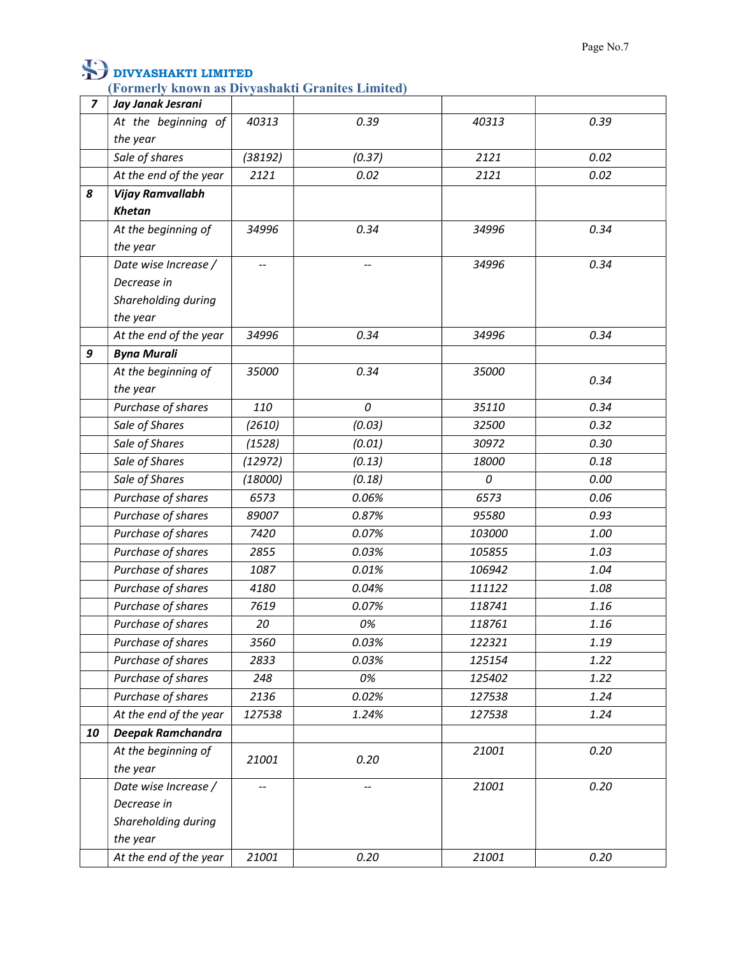(Formerly known as Divyashakti Granites Limited)

| $\overline{z}$ | Jay Janak Jesrani       |         |                          |        |      |
|----------------|-------------------------|---------|--------------------------|--------|------|
|                | At the beginning of     | 40313   | 0.39                     | 40313  | 0.39 |
|                | the year                |         |                          |        |      |
|                | Sale of shares          | (38192) | (0.37)                   | 2121   | 0.02 |
|                | At the end of the year  | 2121    | 0.02                     | 2121   | 0.02 |
| 8              | <b>Vijay Ramvallabh</b> |         |                          |        |      |
|                | <b>Khetan</b>           |         |                          |        |      |
|                | At the beginning of     | 34996   | 0.34                     | 34996  | 0.34 |
|                | the year                |         |                          |        |      |
|                | Date wise Increase /    |         |                          | 34996  | 0.34 |
|                | Decrease in             |         |                          |        |      |
|                | Shareholding during     |         |                          |        |      |
|                | the year                |         |                          |        |      |
|                | At the end of the year  | 34996   | 0.34                     | 34996  | 0.34 |
| 9              | <b>Byna Murali</b>      |         |                          |        |      |
|                | At the beginning of     | 35000   | 0.34                     | 35000  | 0.34 |
|                | the year                |         |                          |        |      |
|                | Purchase of shares      | 110     | 0                        | 35110  | 0.34 |
|                | Sale of Shares          | (2610)  | (0.03)                   | 32500  | 0.32 |
|                | Sale of Shares          | (1528)  | (0.01)                   | 30972  | 0.30 |
|                | Sale of Shares          | (12972) | (0.13)                   | 18000  | 0.18 |
|                | Sale of Shares          | (18000) | (0.18)                   | 0      | 0.00 |
|                | Purchase of shares      | 6573    | 0.06%                    | 6573   | 0.06 |
|                | Purchase of shares      | 89007   | 0.87%                    | 95580  | 0.93 |
|                | Purchase of shares      | 7420    | 0.07%                    | 103000 | 1.00 |
|                | Purchase of shares      | 2855    | 0.03%                    | 105855 | 1.03 |
|                | Purchase of shares      | 1087    | 0.01%                    | 106942 | 1.04 |
|                | Purchase of shares      | 4180    | 0.04%                    | 111122 | 1.08 |
|                | Purchase of shares      | 7619    | 0.07%                    | 118741 | 1.16 |
|                | Purchase of shares      | 20      | 0%                       | 118761 | 1.16 |
|                | Purchase of shares      | 3560    | 0.03%                    | 122321 | 1.19 |
|                | Purchase of shares      | 2833    | 0.03%                    | 125154 | 1.22 |
|                | Purchase of shares      | 248     | 0%                       | 125402 | 1.22 |
|                | Purchase of shares      | 2136    | 0.02%                    | 127538 | 1.24 |
|                | At the end of the year  | 127538  | 1.24%                    | 127538 | 1.24 |
| 10             | Deepak Ramchandra       |         |                          |        |      |
|                | At the beginning of     |         |                          | 21001  | 0.20 |
|                | the year                | 21001   | 0.20                     |        |      |
|                | Date wise Increase /    |         | $\overline{\phantom{a}}$ | 21001  | 0.20 |
|                | Decrease in             |         |                          |        |      |
|                | Shareholding during     |         |                          |        |      |
|                | the year                |         |                          |        |      |
|                | At the end of the year  | 21001   | 0.20                     | 21001  | 0.20 |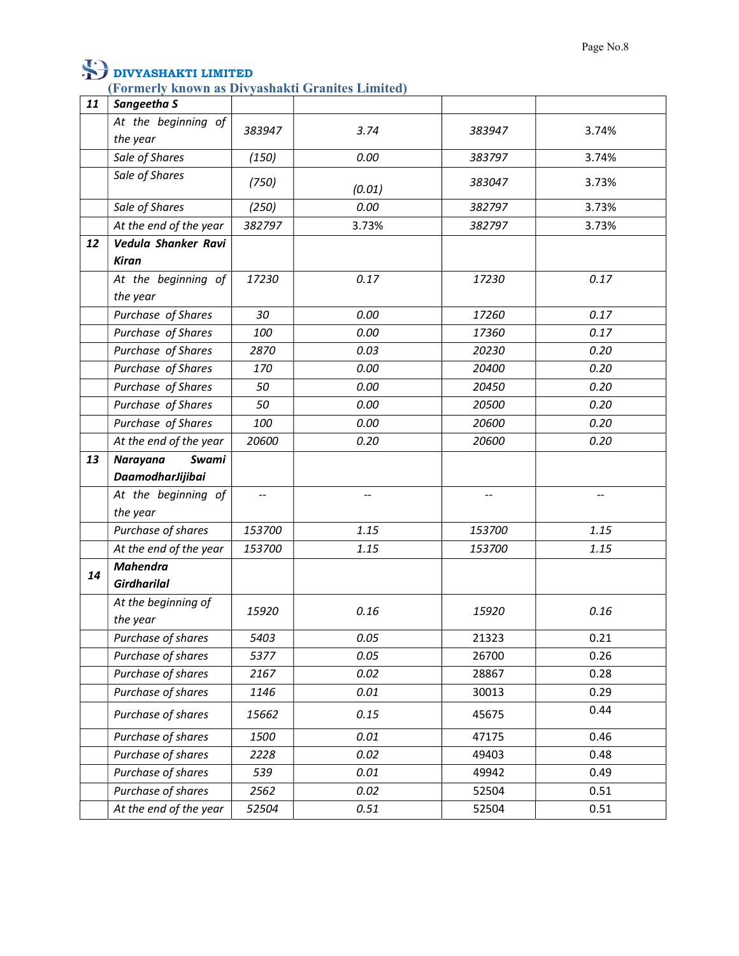| 11 | Sangeetha S            |                          |                          |                |                          |
|----|------------------------|--------------------------|--------------------------|----------------|--------------------------|
|    | At the beginning of    | 383947                   | 3.74                     | 383947         | 3.74%                    |
|    | the year               |                          |                          |                |                          |
|    | Sale of Shares         | (150)                    | 0.00                     | 383797         | 3.74%                    |
|    | Sale of Shares         | (750)                    | (0.01)                   | 383047         | 3.73%                    |
|    | Sale of Shares         | (250)                    | 0.00                     | 382797         | 3.73%                    |
|    | At the end of the year | 382797                   | 3.73%                    | 382797         | 3.73%                    |
| 12 | Vedula Shanker Ravi    |                          |                          |                |                          |
|    | <b>Kiran</b>           |                          |                          |                |                          |
|    | At the beginning of    | 17230                    | 0.17                     | 17230          | 0.17                     |
|    | the year               |                          |                          |                |                          |
|    | Purchase of Shares     | 30                       | 0.00                     | 17260          | 0.17                     |
|    | Purchase of Shares     | 100                      | 0.00                     | 17360          | 0.17                     |
|    | Purchase of Shares     | 2870                     | 0.03                     | 20230          | 0.20                     |
|    | Purchase of Shares     | 170                      | 0.00                     | 20400          | 0.20                     |
|    | Purchase of Shares     | 50                       | 0.00                     | 20450          | 0.20                     |
|    | Purchase of Shares     | 50                       | 0.00                     | 20500          | 0.20                     |
|    | Purchase of Shares     | 100                      | 0.00                     | 20600          | 0.20                     |
|    | At the end of the year | 20600                    | 0.20                     | 20600          | 0.20                     |
| 13 | Narayana<br>Swami      |                          |                          |                |                          |
|    | DaamodharJijibai       |                          |                          |                |                          |
|    | At the beginning of    | $\overline{\phantom{a}}$ | $\overline{\phantom{a}}$ | $\overline{a}$ | $\overline{\phantom{a}}$ |
|    | the year               |                          |                          |                |                          |
|    | Purchase of shares     | 153700                   | 1.15                     | 153700         | 1.15                     |
|    | At the end of the year | 153700                   | 1.15                     | 153700         | 1.15                     |
| 14 | <b>Mahendra</b>        |                          |                          |                |                          |
|    | <b>Girdharilal</b>     |                          |                          |                |                          |
|    | At the beginning of    | 15920                    | 0.16                     | 15920          | 0.16                     |
|    | the year               |                          |                          |                |                          |
|    | Purchase of shares     | 5403                     | 0.05                     | 21323          | 0.21                     |
|    | Purchase of shares     | 5377                     | 0.05                     | 26700          | 0.26                     |
|    | Purchase of shares     | 2167                     | 0.02                     | 28867          | 0.28                     |
|    | Purchase of shares     | 1146                     | 0.01                     | 30013          | 0.29                     |
|    | Purchase of shares     | 15662                    | 0.15                     | 45675          | 0.44                     |
|    | Purchase of shares     | 1500                     | 0.01                     | 47175          | 0.46                     |
|    | Purchase of shares     | 2228                     | 0.02                     | 49403          | 0.48                     |
|    | Purchase of shares     | 539                      | 0.01                     | 49942          | 0.49                     |
|    | Purchase of shares     | 2562                     | 0.02                     | 52504          | 0.51                     |
|    | At the end of the year | 52504                    | 0.51                     | 52504          | 0.51                     |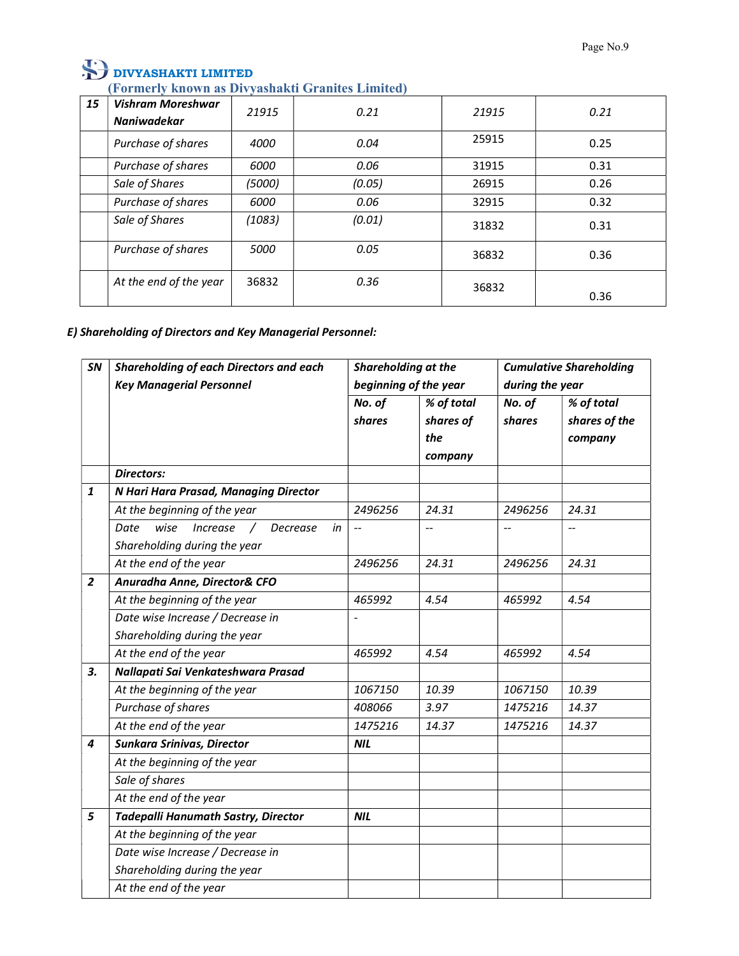#### (Formerly known as Divyashakti Granites Limited)

| 15 | Vishram Moreshwar<br>Naniwadekar | 21915  | 0.21   | 21915 | 0.21 |
|----|----------------------------------|--------|--------|-------|------|
|    | Purchase of shares               | 4000   | 0.04   | 25915 | 0.25 |
|    | Purchase of shares               | 6000   | 0.06   | 31915 | 0.31 |
|    | Sale of Shares                   | (5000) | (0.05) | 26915 | 0.26 |
|    | Purchase of shares               | 6000   | 0.06   | 32915 | 0.32 |
|    | Sale of Shares                   | (1083) | (0.01) | 31832 | 0.31 |
|    | Purchase of shares               | 5000   | 0.05   | 36832 | 0.36 |
|    | At the end of the year           | 36832  | 0.36   | 36832 | 0.36 |

### E) Shareholding of Directors and Key Managerial Personnel:

| SN             | Shareholding of each Directors and each      | Shareholding at the      |                | <b>Cumulative Shareholding</b> |                |  |
|----------------|----------------------------------------------|--------------------------|----------------|--------------------------------|----------------|--|
|                | <b>Key Managerial Personnel</b>              | beginning of the year    |                | during the year                |                |  |
|                |                                              | No. of                   | % of total     | No. of                         | % of total     |  |
|                |                                              | shares                   | shares of      | shares                         | shares of the  |  |
|                |                                              |                          | the            |                                | company        |  |
|                |                                              |                          | company        |                                |                |  |
|                | <b>Directors:</b>                            |                          |                |                                |                |  |
| 1              | N Hari Hara Prasad, Managing Director        |                          |                |                                |                |  |
|                | At the beginning of the year                 | 2496256                  | 24.31          | 2496256                        | 24.31          |  |
|                | wise<br>Increase /<br>Date<br>Decrease<br>in | $\overline{\phantom{a}}$ | $\overline{a}$ | --                             | $\overline{a}$ |  |
|                | Shareholding during the year                 |                          |                |                                |                |  |
|                | At the end of the year                       | 2496256                  | 24.31          | 2496256                        | 24.31          |  |
| $\overline{2}$ | Anuradha Anne, Director& CFO                 |                          |                |                                |                |  |
|                | At the beginning of the year                 | 465992                   | 4.54           | 465992                         | 4.54           |  |
|                | Date wise Increase / Decrease in             |                          |                |                                |                |  |
|                | Shareholding during the year                 |                          |                |                                |                |  |
|                | At the end of the year                       | 465992                   | 4.54           | 465992                         | 4.54           |  |
| 3.             | Nallapati Sai Venkateshwara Prasad           |                          |                |                                |                |  |
|                | At the beginning of the year                 | 1067150                  | 10.39          | 1067150                        | 10.39          |  |
|                | Purchase of shares                           | 408066                   | 3.97           | 1475216                        | 14.37          |  |
|                | At the end of the year                       | 1475216                  | 14.37          | 1475216                        | 14.37          |  |
| 4              | Sunkara Srinivas, Director                   | <b>NIL</b>               |                |                                |                |  |
|                | At the beginning of the year                 |                          |                |                                |                |  |
|                | Sale of shares                               |                          |                |                                |                |  |
|                | At the end of the year                       |                          |                |                                |                |  |
| 5              | <b>Tadepalli Hanumath Sastry, Director</b>   | <b>NIL</b>               |                |                                |                |  |
|                | At the beginning of the year                 |                          |                |                                |                |  |
|                | Date wise Increase / Decrease in             |                          |                |                                |                |  |
|                | Shareholding during the year                 |                          |                |                                |                |  |
|                | At the end of the year                       |                          |                |                                |                |  |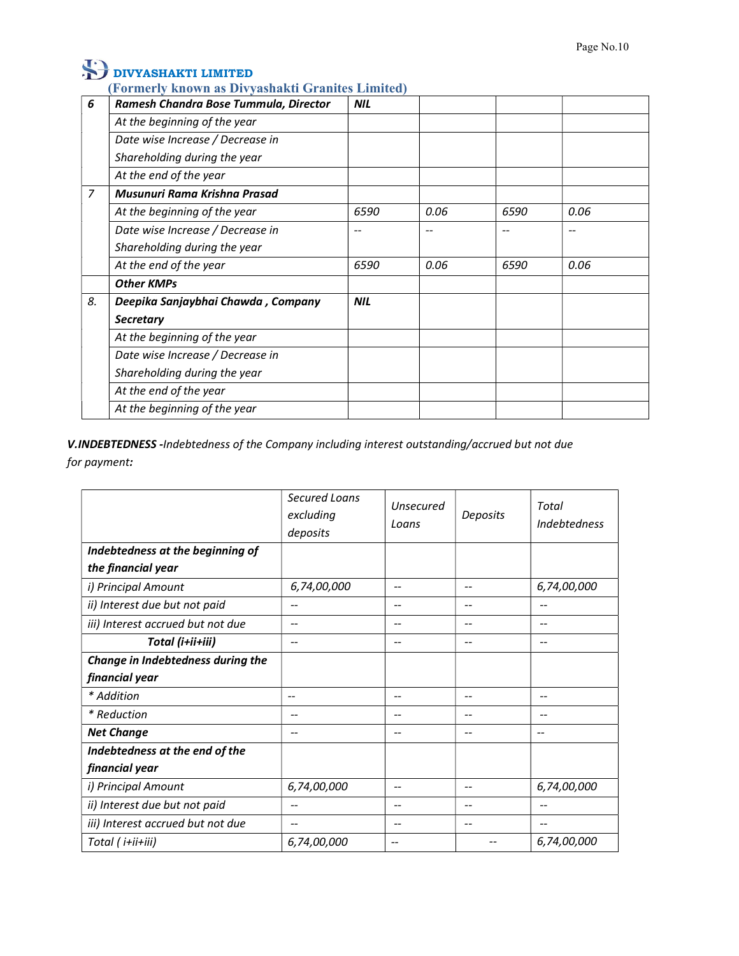#### (Formerly known as Divyashakti Granites Limited)

| 6              | Ramesh Chandra Bose Tummula, Director | <b>NIL</b> |      |      |      |
|----------------|---------------------------------------|------------|------|------|------|
|                | At the beginning of the year          |            |      |      |      |
|                | Date wise Increase / Decrease in      |            |      |      |      |
|                | Shareholding during the year          |            |      |      |      |
|                | At the end of the year                |            |      |      |      |
| $\overline{7}$ | Musunuri Rama Krishna Prasad          |            |      |      |      |
|                | At the beginning of the year          | 6590       | 0.06 | 6590 | 0.06 |
|                | Date wise Increase / Decrease in      | --         |      |      |      |
|                | Shareholding during the year          |            |      |      |      |
|                | At the end of the year                | 6590       | 0.06 | 6590 | 0.06 |
|                | <b>Other KMPs</b>                     |            |      |      |      |
| 8.             | Deepika Sanjaybhai Chawda, Company    | <b>NIL</b> |      |      |      |
|                | <b>Secretary</b>                      |            |      |      |      |
|                | At the beginning of the year          |            |      |      |      |
|                | Date wise Increase / Decrease in      |            |      |      |      |
|                | Shareholding during the year          |            |      |      |      |
|                | At the end of the year                |            |      |      |      |
|                | At the beginning of the year          |            |      |      |      |

V.INDEBTEDNESS -Indebtedness of the Company including interest outstanding/accrued but not due for payment:

|                                   | Secured Loans<br>excluding<br>deposits | <b>Unsecured</b><br>Loans | Deposits | Total<br>Indebtedness    |
|-----------------------------------|----------------------------------------|---------------------------|----------|--------------------------|
| Indebtedness at the beginning of  |                                        |                           |          |                          |
| the financial year                |                                        |                           |          |                          |
| i) Principal Amount               | 6,74,00,000                            | $-$                       | --       | 6,74,00,000              |
| ii) Interest due but not paid     | $- -$                                  | $-$                       | --       | $-$                      |
| iii) Interest accrued but not due | --                                     | --                        | --       | $\overline{\phantom{m}}$ |
| Total (i+ii+iii)                  | $-\!$                                  | $\hspace{0.05cm}$         | --       | $\overline{\phantom{m}}$ |
| Change in Indebtedness during the |                                        |                           |          |                          |
| financial year                    |                                        |                           |          |                          |
| * Addition                        | $\overline{\phantom{a}}$               | $-$                       | --       | $\overline{\phantom{m}}$ |
| * Reduction                       | --                                     | $\hspace{0.05cm}$         | --       | $\overline{\phantom{m}}$ |
| <b>Net Change</b>                 | $\overline{\phantom{a}}$               | $\overline{\phantom{a}}$  | --       | --                       |
| Indebtedness at the end of the    |                                        |                           |          |                          |
| financial year                    |                                        |                           |          |                          |
| i) Principal Amount               | 6,74,00,000                            | $-$                       | --       | 6,74,00,000              |
| ii) Interest due but not paid     | --                                     | $-$                       | --       | $-$                      |
| iii) Interest accrued but not due |                                        | --                        | --       | --                       |
| Total (i+ii+iii)                  | 6,74,00,000                            | --                        |          | 6,74,00,000              |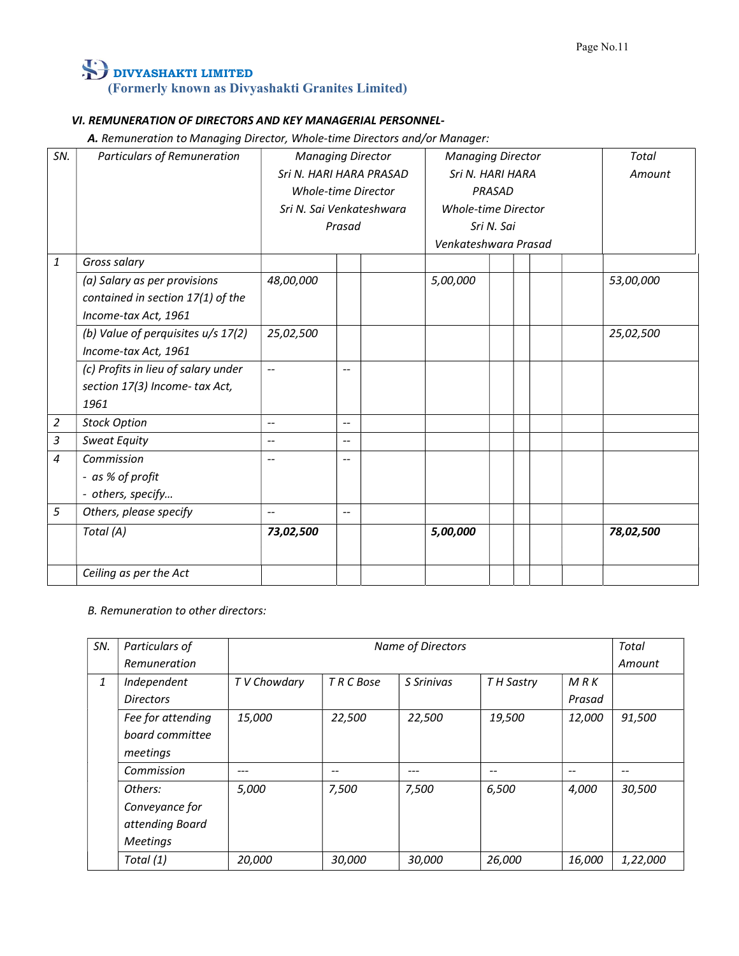### VI. REMUNERATION OF DIRECTORS AND KEY MANAGERIAL PERSONNEL-

A. Remuneration to Managing Director, Whole-time Directors and/or Manager:

| SN.            | <b>Particulars of Remuneration</b>  | <b>Managing Director</b>   |                         | <b>Managing Director</b> |                            |  | Total |           |  |
|----------------|-------------------------------------|----------------------------|-------------------------|--------------------------|----------------------------|--|-------|-----------|--|
|                |                                     |                            | Sri N. HARI HARA PRASAD |                          | Sri N. HARI HARA           |  |       | Amount    |  |
|                |                                     | <b>Whole-time Director</b> |                         | <b>PRASAD</b>            |                            |  |       |           |  |
|                |                                     | Sri N. Sai Venkateshwara   |                         |                          | <b>Whole-time Director</b> |  |       |           |  |
|                |                                     |                            | Prasad                  |                          | Sri N. Sai                 |  |       |           |  |
|                |                                     |                            |                         |                          | Venkateshwara Prasad       |  |       |           |  |
| $\it 1$        | Gross salary                        |                            |                         |                          |                            |  |       |           |  |
|                | (a) Salary as per provisions        | 48,00,000                  |                         |                          | 5,00,000                   |  |       | 53,00,000 |  |
|                | contained in section 17(1) of the   |                            |                         |                          |                            |  |       |           |  |
|                | Income-tax Act, 1961                |                            |                         |                          |                            |  |       |           |  |
|                | (b) Value of perquisites u/s 17(2)  | 25,02,500                  |                         |                          |                            |  |       | 25,02,500 |  |
|                | Income-tax Act, 1961                |                            |                         |                          |                            |  |       |           |  |
|                | (c) Profits in lieu of salary under | $\overline{\phantom{a}}$   | $-$                     |                          |                            |  |       |           |  |
|                | section 17(3) Income- tax Act,      |                            |                         |                          |                            |  |       |           |  |
|                | 1961                                |                            |                         |                          |                            |  |       |           |  |
| $\overline{2}$ | <b>Stock Option</b>                 | $\overline{\phantom{a}}$   | --                      |                          |                            |  |       |           |  |
| 3              | Sweat Equity                        | $\overline{\phantom{a}}$   | $\overline{a}$          |                          |                            |  |       |           |  |
| $\overline{4}$ | Commission                          | $\overline{a}$             | --                      |                          |                            |  |       |           |  |
|                | - as % of profit                    |                            |                         |                          |                            |  |       |           |  |
|                | - others, specify                   |                            |                         |                          |                            |  |       |           |  |
| 5              | Others, please specify              | $\overline{\phantom{a}}$   | $-$                     |                          |                            |  |       |           |  |
|                | Total (A)                           | 73,02,500                  |                         |                          | 5,00,000                   |  |       | 78,02,500 |  |
|                |                                     |                            |                         |                          |                            |  |       |           |  |
|                | Ceiling as per the Act              |                            |                         |                          |                            |  |       |           |  |

#### B. Remuneration to other directors:

| SN. | Particulars of    |             | Name of Directors<br>Total |            |            |                          |          |
|-----|-------------------|-------------|----------------------------|------------|------------|--------------------------|----------|
|     | Remuneration      |             |                            |            |            |                          | Amount   |
| 1   | Independent       | TV Chowdary | T R C Bose                 | S Srinivas | T H Sastry | M R K                    |          |
|     | <b>Directors</b>  |             |                            |            |            | Prasad                   |          |
|     | Fee for attending | 15,000      | 22,500                     | 22,500     | 19,500     | 12,000                   | 91,500   |
|     | board committee   |             |                            |            |            |                          |          |
|     | meetings          |             |                            |            |            |                          |          |
|     | Commission        | $---$       | $\hspace{0.05cm}$          | $---$      | $- -$      | $\overline{\phantom{a}}$ | $-$      |
|     | Others:           | 5,000       | 7,500                      | 7,500      | 6,500      | 4,000                    | 30,500   |
|     | Conveyance for    |             |                            |            |            |                          |          |
|     | attending Board   |             |                            |            |            |                          |          |
|     | <b>Meetings</b>   |             |                            |            |            |                          |          |
|     | Total (1)         | 20,000      | 30,000                     | 30,000     | 26,000     | 16,000                   | 1,22,000 |
|     |                   |             |                            |            |            |                          |          |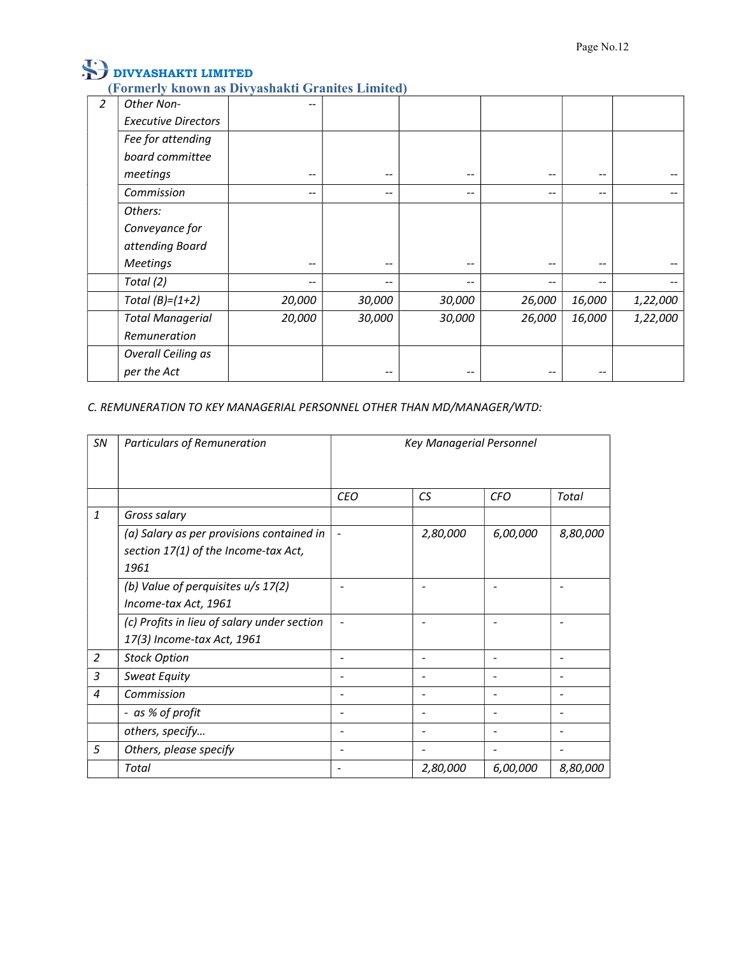(Formerly known as Divyashakti Granites Limited)

| $\overline{2}$ | Other Non-                 | --                       |                          |                   |                          |                          |                          |  |
|----------------|----------------------------|--------------------------|--------------------------|-------------------|--------------------------|--------------------------|--------------------------|--|
|                | <b>Executive Directors</b> |                          |                          |                   |                          |                          |                          |  |
|                | Fee for attending          |                          |                          |                   |                          |                          |                          |  |
|                | board committee            |                          |                          |                   |                          |                          |                          |  |
|                | meetings                   | $\overline{\phantom{m}}$ | $\overline{\phantom{m}}$ | $\qquad \qquad -$ | $\overline{\phantom{m}}$ | $- -$                    | $-\!$ $-$                |  |
|                | Commission                 | $\overline{\phantom{m}}$ | $\overline{\phantom{a}}$ | --                | $\qquad \qquad -$        | $\overline{\phantom{m}}$ | $\overline{\phantom{m}}$ |  |
|                | Others:                    |                          |                          |                   |                          |                          |                          |  |
|                | Conveyance for             |                          |                          |                   |                          |                          |                          |  |
|                | attending Board            |                          |                          |                   |                          |                          |                          |  |
|                | <b>Meetings</b>            | $\overline{\phantom{a}}$ | $\overline{\phantom{a}}$ | $\qquad \qquad -$ | $\overline{\phantom{a}}$ | $\overline{\phantom{m}}$ | $\overline{\phantom{m}}$ |  |
|                | Total (2)                  | $\overline{\phantom{m}}$ | $\sim$                   | $\qquad \qquad -$ | $\overline{\phantom{m}}$ | $- -$                    | $\qquad \qquad -$        |  |
|                | Total $(B)=(1+2)$          | 20,000                   | 30,000                   | 30,000            | 26,000                   | 16,000                   | 1,22,000                 |  |
|                | <b>Total Managerial</b>    | 20,000                   | 30,000                   | 30,000            | 26,000                   | 16,000                   | 1,22,000                 |  |
|                | Remuneration               |                          |                          |                   |                          |                          |                          |  |
|                | <b>Overall Ceiling as</b>  |                          |                          |                   |                          |                          |                          |  |
|                | per the Act                |                          | $\overline{\phantom{m}}$ | --                | $- -$                    | $\overline{\phantom{m}}$ |                          |  |

C. REMUNERATION TO KEY MANAGERIAL PERSONNEL OTHER THAN MD/MANAGER/WTD:

| SN             | <b>Particulars of Remuneration</b>          | <b>Key Managerial Personnel</b> |                          |                              |                              |  |  |
|----------------|---------------------------------------------|---------------------------------|--------------------------|------------------------------|------------------------------|--|--|
|                |                                             |                                 |                          |                              |                              |  |  |
|                |                                             | <b>CEO</b>                      | CS                       | <b>CFO</b>                   | Total                        |  |  |
| $\mathbf{1}$   | Gross salary                                |                                 |                          |                              |                              |  |  |
|                | (a) Salary as per provisions contained in   | $\blacksquare$                  | 2,80,000                 | 6,00,000                     | 8,80,000                     |  |  |
|                | section 17(1) of the Income-tax Act,        |                                 |                          |                              |                              |  |  |
|                | 1961                                        |                                 |                          |                              |                              |  |  |
|                | (b) Value of perquisites u/s 17(2)          | $\overline{\phantom{a}}$        | $\overline{\phantom{0}}$ | $\qquad \qquad \blacksquare$ | $\overline{a}$               |  |  |
|                | Income-tax Act, 1961                        |                                 |                          |                              |                              |  |  |
|                | (c) Profits in lieu of salary under section | $\blacksquare$                  | $\overline{\phantom{a}}$ | $\overline{\phantom{a}}$     | $\qquad \qquad \blacksquare$ |  |  |
|                | 17(3) Income-tax Act, 1961                  |                                 |                          |                              |                              |  |  |
| $\overline{2}$ | <b>Stock Option</b>                         | $\overline{\phantom{a}}$        | $\overline{\phantom{a}}$ | $\overline{\phantom{a}}$     | $\overline{\phantom{a}}$     |  |  |
| 3              | <b>Sweat Equity</b>                         | $\overline{\phantom{a}}$        | $\blacksquare$           | $\overline{\phantom{a}}$     | $\overline{\phantom{a}}$     |  |  |
| 4              | Commission                                  | $\overline{\phantom{a}}$        | $\blacksquare$           | $\overline{\phantom{a}}$     | $\overline{\phantom{a}}$     |  |  |
|                | - as % of profit                            | $\overline{\phantom{a}}$        | $\overline{\phantom{a}}$ | $\overline{\phantom{a}}$     | $\overline{\phantom{a}}$     |  |  |
|                | others, specify                             | $\overline{\phantom{a}}$        | $\overline{\phantom{0}}$ | $\overline{\phantom{a}}$     | $\overline{\phantom{a}}$     |  |  |
| 5              | Others, please specify                      | $\overline{\phantom{a}}$        | $\overline{\phantom{a}}$ | $\overline{\phantom{a}}$     |                              |  |  |
|                | Total                                       | $\overline{\phantom{a}}$        | 2,80,000                 | 6,00,000                     | 8,80,000                     |  |  |